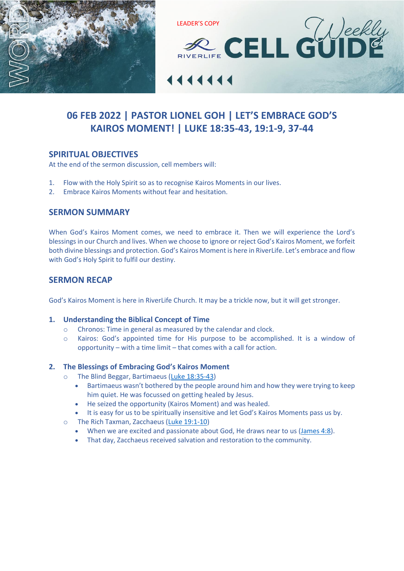



# **06 FEB 2022 | PASTOR LIONEL GOH | LET'S EMBRACE GOD'S KAIROS MOMENT! | [LUKE 18:35-43, 19:1-9, 37-44](https://www.biblegateway.com/passage/?search=LUKE+18%3A35-43%2C+19%3A1-9%2C+37-44&version=ESV)**

## **SPIRITUAL OBJECTIVES**

At the end of the sermon discussion, cell members will:

- 1. Flow with the Holy Spirit so as to recognise Kairos Moments in our lives.
- 2. Embrace Kairos Moments without fear and hesitation.

## **SERMON SUMMARY**

When God's Kairos Moment comes, we need to embrace it. Then we will experience the Lord's blessings in our Church and lives. When we choose to ignore or reject God's Kairos Moment, we forfeit both divine blessings and protection. God's Kairos Moment is here in RiverLife. Let's embrace and flow with God's Holy Spirit to fulfil our destiny.

## **SERMON RECAP**

God's Kairos Moment is here in RiverLife Church. It may be a trickle now, but it will get stronger.

#### **1. Understanding the Biblical Concept of Time**

- o Chronos: Time in general as measured by the calendar and clock.
- o Kairos: God's appointed time for His purpose to be accomplished. It is a window of opportunity – with a time limit – that comes with a call for action.

## **2. The Blessings of Embracing God's Kairos Moment**

- o The Blind Beggar, Bartimaeus [\(Luke 18:35-43\)](https://www.biblegateway.com/passage/?search=Luke+18%3A35-43&version=ESV)
	- Bartimaeus wasn't bothered by the people around him and how they were trying to keep him quiet. He was focussed on getting healed by Jesus.
	- He seized the opportunity (Kairos Moment) and was healed.
	- It is easy for us to be spiritually insensitive and let God's Kairos Moments pass us by.
- o The Rich Taxman, Zacchaeus [\(Luke 19:1-10\)](https://www.biblegateway.com/passage/?search=Luke+19%3A1-10&version=ESV)
	- When we are excited and passionate about God, He draws near to us [\(James 4:8\)](https://www.biblegateway.com/passage/?search=James+4%3A8&version=ESV).
	- That day, Zacchaeus received salvation and restoration to the community.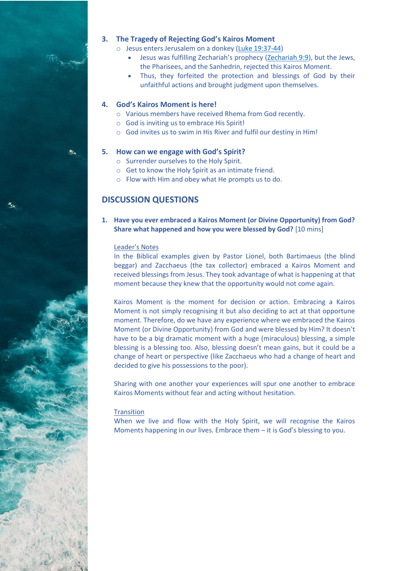

- o Jesus enters Jerusalem on a donkey [\(Luke 19:37-44\)](https://www.biblegateway.com/passage/?search=Luke+19%3A37-44&version=ESV)
	- Jesus was fulfilling Zechariah's prophecy ([Zechariah 9:9\)](https://www.biblegateway.com/passage/?search=Zechariah+9%3A9&version=ESV), but the Jews, the Pharisees, and the Sanhedrin, rejected this Kairos Moment.
	- Thus, they forfeited the protection and blessings of God by their unfaithful actions and brought judgment upon themselves.

#### **4. God's Kairos Moment is here!**

- o Various members have received Rhema from God recently.
- o God is inviting us to embrace His Spirit!
- o God invites us to swim in His River and fulfil our destiny in Him!

#### **5. How can we engage with God's Spirit?**

- o Surrender ourselves to the Holy Spirit.
- o Get to know the Holy Spirit as an intimate friend.
- o Flow with Him and obey what He prompts us to do.

## **DISCUSSION QUESTIONS**

### **1. Have you ever embraced a Kairos Moment (or Divine Opportunity) from God? Share what happened and how you were blessed by God?** [10 mins]

#### Leader's Notes

In the Biblical examples given by Pastor Lionel, both Bartimaeus (the blind beggar) and Zacchaeus (the tax collector) embraced a Kairos Moment and received blessings from Jesus. They took advantage of what is happening at that moment because they knew that the opportunity would not come again.

Kairos Moment is the moment for decision or action. Embracing a Kairos Moment is not simply recognising it but also deciding to act at that opportune moment. Therefore, do we have any experience where we embraced the Kairos Moment (or Divine Opportunity) from God and were blessed by Him? It doesn't have to be a big dramatic moment with a huge (miraculous) blessing, a simple blessing is a blessing too. Also, blessing doesn't mean gains, but it could be a change of heart or perspective (like Zacchaeus who had a change of heart and decided to give his possessions to the poor).

Sharing with one another your experiences will spur one another to embrace Kairos Moments without fear and acting without hesitation.

#### **Transition**

When we live and flow with the Holy Spirit, we will recognise the Kairos Moments happening in our lives. Embrace them – it is God's blessing to you.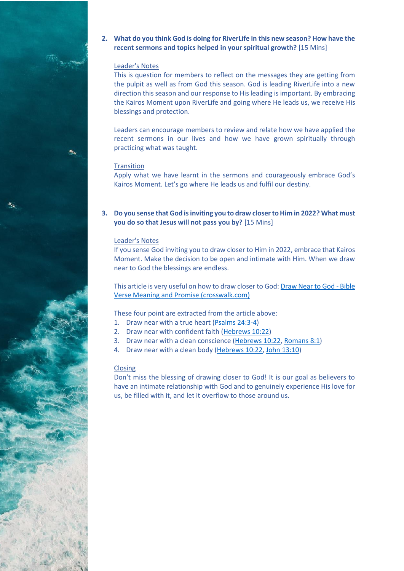

#### Leader's Notes

This is question for members to reflect on the messages they are getting from the pulpit as well as from God this season. God is leading RiverLife into a new direction this season and our response to Hisleading is important. By embracing the Kairos Moment upon RiverLife and going where He leads us, we receive His blessings and protection.

Leaders can encourage members to review and relate how we have applied the recent sermons in our lives and how we have grown spiritually through practicing what was taught.

#### **Transition**

Apply what we have learnt in the sermons and courageously embrace God's Kairos Moment. Let's go where He leads us and fulfil our destiny.

#### **3. Do you sense that God is inviting you to draw closer to Him in 2022? What must you do so that Jesus will not pass you by?** [15 Mins]

#### Leader's Notes

If you sense God inviting you to draw closer to Him in 2022, embrace that Kairos Moment. Make the decision to be open and intimate with Him. When we draw near to God the blessings are endless.

This article is very useful on how to draw closer to God[: Draw Near to God -](https://www.crosswalk.com/church/pastors-or-leadership/4-conditions-to-drawing-near-to-god.html) Bible [Verse Meaning and Promise \(crosswalk.com\)](https://www.crosswalk.com/church/pastors-or-leadership/4-conditions-to-drawing-near-to-god.html)

These four point are extracted from the article above:

- 1. Draw near with a true heart [\(Psalms 24:3-4\)](https://www.biblegateway.com/passage/?search=Psalms+24%3A3-4&version=ESV)
- 2. Draw near with confident faith [\(Hebrews 10:22\)](https://www.biblegateway.com/passage/?search=Hebrews+10%3A22&version=ESV)
- 3. Draw near with a clean conscience [\(Hebrews 10:22,](https://www.biblegateway.com/passage/?search=Hebrews+10%3A22&version=ESV) [Romans 8:1\)](https://www.biblegateway.com/passage/?search=Romans+8%3A1&version=ESV)
- 4. Draw near with a clean body [\(Hebrews 10:22,](https://www.biblegateway.com/passage/?search=Hebrews+10%3A22&version=ESV) John [13:10\)](https://www.biblegateway.com/passage/?search=John+13%3A10&version=ESV)

#### Closing

Don't miss the blessing of drawing closer to God! It is our goal as believers to have an intimate relationship with God and to genuinely experience His love for us, be filled with it, and let it overflow to those around us.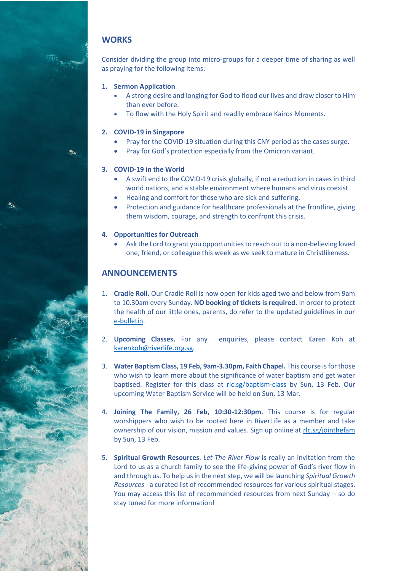## **WORKS**

Ac.

Consider dividing the group into micro-groups for a deeper time of sharing as well as praying for the following items:

## **1. Sermon Application**

- A strong desire and longing for God to flood our lives and draw closer to Him than ever before.
- To flow with the Holy Spirit and readily embrace Kairos Moments.

#### **2. COVID-19 in Singapore**

- Pray for the COVID-19 situation during this CNY period as the cases surge.
- Pray for God's protection especially from the Omicron variant.

#### **3. COVID-19 in the World**

- A swift end to the COVID-19 crisis globally, if not a reduction in cases in third world nations, and a stable environment where humans and virus coexist.
- Healing and comfort for those who are sick and suffering.
- Protection and guidance for healthcare professionals at the frontline, giving them wisdom, courage, and strength to confront this crisis.

#### **4. Opportunities for Outreach**

• Ask the Lord to grant you opportunities to reach out to a non-believing loved one, friend, or colleague this week as we seek to mature in Christlikeness.

## **ANNOUNCEMENTS**

- 1. **Cradle Roll**. Our Cradle Roll is now open for kids aged two and below from 9am to 10.30am every Sunday. **NO booking of tickets is required.** In order to protect the health of our little ones, parents, do refer to the updated guidelines in our [e-bulletin.](http://www.riverlife.org.sg/bulletin)
- 2. **Upcoming Classes.** For any enquiries, please contact Karen Koh at [karenkoh@riverlife.org.sg.](mailto:karenkoh@riverlife.org.sg?subject=Classes)
- 3. **Water Baptism Class, 19 Feb, 9am-3.30pm, Faith Chapel.** This course is for those who wish to learn more about the significance of water baptism and get water baptised. Register for this class at [rlc.sg/baptism-class](https://rlc.sg/baptism-class) by Sun, 13 Feb. Our upcoming Water Baptism Service will be held on Sun, 13 Mar.
- 4. **Joining The Family, 26 Feb, 10:30-12:30pm.** This course is for regular worshippers who wish to be rooted here in RiverLife as a member and take ownership of our vision, mission and values. Sign up online at [rlc.sg/jointhefam](https://rlc.sg/jointhefam) by Sun, 13 Feb.
- 5. **Spiritual Growth Resources**. *Let The River Flow* is really an invitation from the Lord to us as a church family to see the life-giving power of God's river flow in and through us. To help us in the next step, we will be launching *Spiritual Growth Resources* - a curated list of recommended resources for various spiritual stages. You may access this list of recommended resources from next Sunday – so do stay tuned for more information!